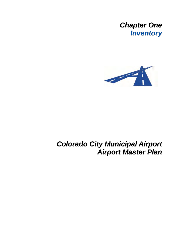



# *Colorado City Municipal Airport Airport Master Plan*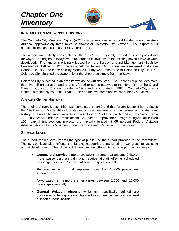

#### **INTRODUCTION AND AIRPORT HISTORY**

The Colorado City Municipal Airport (AZC) is a general aviation airport located in northwestern Arizona, approximately three miles southwest of Colorado City, Arizona. The airport is 29 nautical miles east-southeast of St. George, Utah.

The airport was initially constructed in the 1960's and originally consisted of compacted dirt runways. The original runways were abandoned in 1991 when the existing paved runways were developed. The land was originally leased from the Bureau of Land Management (BLM) by Benjamin G. Bistline. In 1978 the lease held by Benjamin G. Bistline was transferred to Mohave County. In 1988 the lease held by Mohave County was transferred to Colorado City. In 1991 Colorado City obtained the ownership of the airport fee simple from the BLM.

Colorado City is located in an area known as the Arizona Strip. The Arizona Strip includes more than five million acres of land and is referred to as the gateway to the North Rim of the Grand Canyon. Colorado City was founded in 1908 and incorporated in 1985. Colorado City is also located immediately south of Hildale, Utah and the two communities share many services.

#### **AIRPORT GRANT HISTORY**

The original Airport Master Plan was completed in 1982 and this Airport Master Plan replaces the 1999 Airport Master Plan Update and subsequent revisions. A federal and state grant history for the capital improvements at the Colorado City Municipal Airport is provided in Table 1-1. In Arizona, under the most recent FAA Airport Improvement Program legislation (Vision 100), capital improvement projects are typically funded at 95 percent Federal Aviation Administration (FAA), 2.5 percent State of Arizona and 2.5 percent by the sponsor.

#### **SERVICE LEVEL**

The airport service level reflects the type of public use the airport provides to the community. The service level also reflects the funding categories established by Congress to assist in airport development. The following list identifies the different types of airport service levels:

• **Commercial service** airports are public airports that enplane 2,500 or more passengers annually and receive aircraft offering scheduled passenger service. Commercial service airports are either:

*Primary-* an airport that enplanes more than 10,000 passengers annually; or

*Nonprimary-* an airport that enplanes between 2,500 and 10,000 passengers annually.

• **General Aviation Airports** while not specifically defined are considered to be airports not classified as commercial service. General aviation airports include: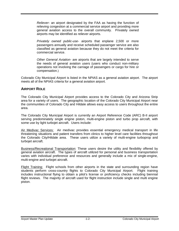*Reliever-* an airport designated by the FAA as having the function of relieving congestion at a commercial service airport and providing more general aviation access to the overall community. Privately owned airports may be identified as reliever airports.

*Privately owned public-use-* airports that enplane 2,500 or more passengers annually and receive scheduled passenger service are also classified as general aviation because they do not meet the criteria for commercial service.

*Other General Aviation-* are airports that are largely intended to serve the needs of general aviation users (users who conduct non-military operations not involving the carriage of passengers or cargo for hire or compensation.)

Colorado City Municipal Airport is listed in the NPIAS as a general aviation airport. The airport meets all of the NPIAS criteria for a general aviation airport.

# **AIRPORT ROLE**

The Colorado City Municipal Airport provides access to the Colorado City and Arizona Strip area for a variety of users. The geographic location of the Colorado City Municipal Airport near the communities of Colorado City and Hildale allows easy access to users throughout the entire area.

The Colorado City Municipal Airport is currently an Airport Reference Code (ARC) B-II airport serving predominately single engine piston, multi-engine piston and turbo prop aircraft, with some use by light turbojet aircraft. Users include:

Air Medivac Services: Air medivac provides essential emergency medical transport in life threatening situations and patient transfers from clinics to higher level care facilities throughout the Colorado City/Hildale area. These users utilize a variety of multi-engine turboprop and turbojet aircraft.

Business/Recreational Transportation: These users desire the utility and flexibility offered by general aviation aircraft. The types of aircraft utilized for personal and business transportation varies with individual preference and resources and generally include a mix of single-engine, multi-engine and turbojet aircraft.

Flight Training: Flight schools from other airports in the state and surrounding region have students perform cross-country flights to Colorado City Municipal Airport. Flight training includes instructional flying to obtain a pilot's license or proficiency checks including biennial flight reviews. The majority of aircraft used for flight instruction include single and multi engine piston.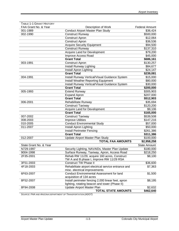| TABLE 1-1 GRANT HISTORY<br>FAA Grant No. & Year | Description of Work                                                                                  | <b>Federal Amount</b> |
|-------------------------------------------------|------------------------------------------------------------------------------------------------------|-----------------------|
| 001-1989                                        | Conduct Airport Master Plan Study                                                                    | \$36,424              |
| 002-1990                                        | <b>Construct Runway</b>                                                                              | \$500,000             |
|                                                 | <b>Construct Apron</b>                                                                               | \$12,064              |
|                                                 | <b>Construct Apron</b>                                                                               | \$36,536              |
|                                                 | <b>Acquire Security Equipment</b>                                                                    | \$94,500              |
|                                                 | <b>Construct Runway</b>                                                                              | \$137,310             |
|                                                 | Acquire Land for Development                                                                         | \$79,200              |
|                                                 | Improve Access Road                                                                                  | \$45,000              |
|                                                 | <b>Grant Total</b>                                                                                   | \$686,161             |
| 003-1991                                        | <b>Construct Apron</b>                                                                               | \$130,257             |
|                                                 | Install Runway Lighting                                                                              | \$84,677              |
|                                                 | Install Apron Lighting                                                                               | \$24,147              |
|                                                 | <b>Grant Total</b>                                                                                   | \$239,081             |
| 004-1991                                        | Install Runway Vertical/Visual Guidance System                                                       | \$15,000              |
|                                                 | Install Weather Reporting Equipment                                                                  | \$80,000              |
|                                                 | Install Runway Vertical/Visual Guidance System                                                       | \$30,000              |
|                                                 | <b>Grant Total</b>                                                                                   | \$200,000             |
| 005-1993                                        | <b>Extend Runway</b>                                                                                 | \$305,903             |
|                                                 | Expand Apron                                                                                         | \$207,000             |
|                                                 | <b>Grant Total</b>                                                                                   | \$512,903             |
| 006-2001                                        | Rehabilitate Runway                                                                                  | \$35,694              |
|                                                 | <b>Construct Taxiway</b>                                                                             | \$120,200             |
|                                                 | <b>Acquire Land for Development</b>                                                                  | \$9,106               |
|                                                 | <b>Grant Total</b>                                                                                   | \$165,000             |
| 007-2002                                        | <b>Construct Taxiway</b>                                                                             | \$539,508             |
| 008-2003                                        | <b>Improve Utilities</b>                                                                             | \$147,216             |
| 010-2005                                        | <b>Conduct Environmental Study</b>                                                                   | \$57,000              |
| 011-2007                                        | Install Apron Lighting                                                                               | \$50,000              |
|                                                 | Install Perimeter Fencing                                                                            | \$261,386             |
|                                                 | <b>Grant Total</b>                                                                                   | \$311,386             |
| 012-2007                                        | Update Airport Master Plan Study                                                                     | \$100,000             |
|                                                 | <b>TOTAL FAA AMOUNTS</b>                                                                             | \$2,958,258           |
| State Grant No. & Year                          |                                                                                                      | <b>State Amount</b>   |
|                                                 |                                                                                                      |                       |
| N729-1997                                       | Security Lighting, NAVAIDs, Master Plan Update                                                       | \$180,000             |
| 9004-1998                                       | Surface Runway, Taxiway, Apron, Access Road                                                          | \$218,250             |
| 2F35-2001                                       | Rehab RW 11/29, acquire 160 acres, Construct<br>TW A and B phase I, Improve RW 11/29 RSA             | \$8,100               |
| 3F51-2003                                       | <b>Construct TW Phase II</b>                                                                         | \$36,600              |
| 4F18-2003                                       | Rehabilitate airport electrical service entrance and<br>misc. electrical improvements                | \$7,363               |
| 6F63-2007                                       | <b>Conduct Environmental Assessment for land</b><br>acquisition of 134 acres                         | \$1,500               |
| 8F52-2007                                       | Install perimeter fencing 2,000 linear feet, apron<br>lighting, rotating beacon and tower (Phase II) | \$8,195               |
| 8F94-2008                                       | Update Airport Master Plan                                                                           | \$2,632               |
|                                                 | TOTAL STATE AMOUNTS                                                                                  | \$462,640             |
|                                                 |                                                                                                      |                       |

*SOURCE: FAA AND ARIZONA DEPARTMENT OF TRANSPORTATION (ADOT)*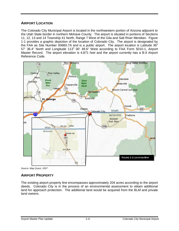# **AIRPORT LOCATION**

The Colorado City Municipal Airport is located in the northwestern portion of Arizona adjacent to the Utah State border in northern Mohave County. The airport is situated in portions of Sections 11, 12, 13 and 14 Township 41 North, Range 7 West of the Gila and Salt River Meridian. Figure 1-1 provides a graphic depiction of the location of Colorado City. The airport is designated by the FAA as Site Number 00660.7A and is a public airport. The airport location is Latitude  $36^{\circ}$ 57' 36.4" North and Longitude 113° 00' 49.6" West according to FAA Form 5010-1, Airport Master Record. The airport elevation is 4,871 feet and the airport currently has a B-II Airport Reference Code.



*Source: Map Quest, 2007* 

# **AIRPORT PROPERTY**

The existing airport property line encompasses approximately 204 acres according to the airport deeds. Colorado City is in the process of an environmental assessment to obtain additional land for approach protection. The additional land would be acquired from the BLM and private land owners.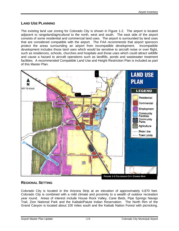# **LAND USE PLANNING**

The existing land use zoning for Colorado City is shown in Figure 1-2. The airport is located adjacent to rangeland/agricultural to the north, west and south. The east side of the airport consists of some residential and commercial land uses. The airport is surrounded by land uses that are considered compatible with the airport. The FAA recommends that airport sponsors protect the areas surrounding an airport from incompatible development. Incompatible development includes those land uses which would be sensitive to aircraft noise or over flight, such as residences, schools, churches and hospitals and those uses which could attract wildlife and cause a hazard to aircraft operations such as landfills, ponds and wastewater treatment facilities. A recommended Compatible Land Use and Height Restriction Plan is included as part of this Master Plan.



# **REGIONAL SETTING**

Colorado City is located in the Arizona Strip at an elevation of approximately 4,870 feet. Colorado City is combined with a mild climate and proximity to a wealth of outdoor recreation year round. Areas of interest include House Rock Valley, Cane Beds, Pipe Springs Navajo Trail, Zion National Park and the Kaibab/Paiute Indian Reservation. The North Rim of the Grand Canyon is located about 100 miles south and the Kaibab Nation Forest with picnicking,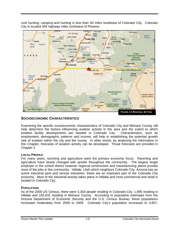rock hunting, camping and hunting is less than 40 miles southeast of Colorado City. Colorado City is located 354 highway miles northwest of Phoenix.



# **SOCIOECONOMIC CHARACTERISTICS**

Examining the specific socioeconomic characteristics of Colorado City and Mohave County will help determine the factors influencing aviation activity in the area and the extent to which aviation facility developments are needed in Colorado City. Characteristics, such as employment, demographic patterns and income, will help in establishing the potential growth rate of aviation within the city and the county. In other words, by analyzing the information in this Chapter, forecasts of aviation activity can be developed. Those forecasts are provided in Chapter 2.

# **LOCAL PROFILE**

For many years, ranching and agriculture were the primary economic focus. Ranching and agriculture have slowly changed with growth throughout the community. The largest single employer is the school district however regional construction and manufacturing plants provide most of the jobs in the community. Hildale, Utah which neighbors Colorado City, Arizona has an active industrial park and service industries; these are an important part of the Colorado City economy. Most of the industrial activity takes place in Hildale and most commercial and retail is located in Colorado City.

# **POPULATION**

As of the 2000 US Census, there were 3,334 people residing in Colorado City, 1,895 residing in Hildale and 155,032 residing in Mohave County. According to population estimates from the Arizona Department of Economic Security and the U.S. Census Bureau, these populations increased moderately from 2000 to 2006. Colorado City's population increased to 4,607,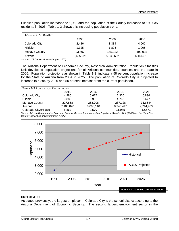Hildale's population increased to 1,950 and the population of the County increased to 193,035 residents in 2006. Table 1-2 shows this increasing population trend.

| TABLE 1-2 POPULATION |           |           |           |
|----------------------|-----------|-----------|-----------|
|                      | 1990      | 2000      | 2006      |
| Colorado City        | 2,426     | 3,334     | 4,607     |
| Hildale              | 1,325     | 1,895     | 1,905     |
| Mohave County        | 93,497    | 155,032   | 193,035   |
| Arizona              | 3,665,228 | 5,130,632 | 6,166,318 |

*Sources: US Census Bureau (August 2007)* 

The Arizona Department of Economic Security, Research Administration, Population Statistics Unit developed population projections for all Arizona communities, counties and the state in 2006. Population projections as shown in Table 1-3, indicate a 58 percent population increase for the State of Arizona from 2004 to 2025. The population of Colorado City is projected to increase to 6,894 by 2026 or a 50 percent increase from the current population.

| TABLE 1-3 POPULATION PROJECTIONS |           |           |           |           |  |
|----------------------------------|-----------|-----------|-----------|-----------|--|
|                                  | 2011      | 2016      | 2021      | 2026      |  |
| Colorado City                    | 4.980     | 5.677     | 6,320     | 6,894     |  |
| Hildale                          | 3.882     | 3.902     | 4.765     | 5.677     |  |
| Mohave County                    | 227,858   | 258,708   | 287,128   | 312,544   |  |
| Arizona                          | 7,186,070 | 8,093,110 | 8,945,447 | 9,744,463 |  |
| Colorado City/Hildale            | 8,862     | 9.579     | 11.085    | 12,571    |  |

*Source: Arizona Department of Economic Security, Research Administration Population Statistics Unit (2006) and the Utah Five County Association of Governments (2005)* 



#### **EMPLOYMENT**

As stated previously, the largest employer in Colorado City is the school district according to the Arizona Department of Economic Security. The second largest employment sector in the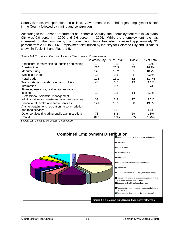County is trade, transportation and utilities. Government is the third largest employment sector in the County followed by mining and construction.

According to the Arizona Department of Economic Security, the unemployment rate in Colorado City was 0.0 percent in 2000 and 2.6 percent in 2006. While the unemployment rate has increased for the community, the civilian labor force has also increased approximately 31 percent from 2000 to 2006. Employment distribution by industry for Colorado City and Hildale is shown in Table 1-4 and Figure 1-5.

| TABLE 1-4 COLORADO CITY AND HILDALE EMPLOYMENT DISTRIBUTION |               |            |         |            |
|-------------------------------------------------------------|---------------|------------|---------|------------|
|                                                             | Colorado City | % of Total | Hildale | % of Total |
| Agriculture, forestry, fishing, hunting and mining          | 13            | 1.5        | 9       | 2.0%       |
| Construction                                                | 230           | 26.3       | 85      | 18.7%      |
| Manufacturing                                               | 142           | 16.2       | 85      | 18.7%      |
| Wholesale trade                                             | 13            | 1.5        | 4       | 0.9%       |
| Retail trade                                                | 115           | 13.1       | 52      | 11.4%      |
| Transportation, warehousing and utilities                   | 48            | 5.5        | 19      | 4.2%       |
| Information                                                 | 6             | 0.7        | 2       | $0.4\%$    |
| Finance, insurance, real estate, rental and                 |               |            |         |            |
| leasing                                                     | 13            | 1.5        | 14      | $3.1\%$    |
| Professional, scientific, management,                       |               |            |         |            |
| administrative and waste management services                | 33            | 3.8        | 17      | 3.7%       |
| Educational, health and social services                     | 141           | 16.1       | 88      | 19.3%      |
| Arts, entertainment, recreation, accommodation              |               |            |         |            |
| and food services                                           | 48            | 5.5        | 21      | 4.6%       |
| Other services (including public administration)            | 73            | 8.3        | 59      | 13%        |
| Total                                                       | 875           | 100%       | 455     | 100%       |

*Source: U.S. Bureau of the Census, Census 2000* 

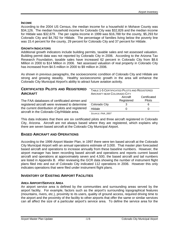#### **INCOME**

According to the 2004 US Census, the median income for a household in Mohave County was \$34,126. The median household income for Colorado City was \$32,826 and the median income for Hildale was \$32,679. The per capita income in 1999 was \$16,788 for the county, \$5,293 for Colorado City and \$4,782 for Hildale. The percentage of families living below the poverty line was 15.4 percent for the county, 29 percent for Colorado City and 37 percent for Hildale.

## **GROWTH INDICATORS**

Additional growth indicators include building permits, taxable sales and net assessed valuation. Building permit data was not reported by Colorado City in 2006. According to the Arizona Tax Research Foundation, taxable sales have increased 62 percent in Colorado City from \$8.6 Million in 2000 to \$14 Million in 2006. Net assessed valuation of real property in Colorado City has increased from \$4.5 million in 2000 to \$9 million in 2006.

As shown in previous paragraphs, the socioeconomic condition of Colorado City and Hildale are strong and growing steadily. Healthy socioeconomic growth in the area will enhance the Colorado City Municipal Airport's ability to attract future aviation activity.

# **CERTIFICATED PILOTS AND REGISTERED AIRCRAFT**

The FAA databases of certificated airmen and registered aircraft were reviewed to determine the current distribution of pilots and registered aircraft in the Colorado City/Hildale area.

| TABLE 1-5 CERTIFICATED PILOTS AND REGISTERED |            |              |  |  |
|----------------------------------------------|------------|--------------|--|--|
| AIRCRAFT NEAR COLORADO CITY                  |            |              |  |  |
|                                              | Aircraft   | Certificated |  |  |
|                                              | Registered | Pilots       |  |  |
| Colorado City                                |            | 6            |  |  |
| Hildale                                      |            |              |  |  |

*SOURCE: FAA, 2007* 

This data indicates that there are six certificated pilots and three aircraft registered in Colorado City, Arizona. Aircraft are not always based where they are registered, which explains why there are seven based aircraft at the Colorado City Municipal Airport.

# **BASED AIRCRAFT AND OPERATIONS**

According to the 1999 Airport Master Plan, in 1997 there were ten based aircraft at the Colorado City Municipal Airport with an annual operations estimate of 3,000. That master plan forecasted based aircraft and operations to increase annually from these baseline numbers. However, the airport manager has been recording based aircraft and operations and reports current based aircraft and operations at approximately seven and 4,500, the based aircraft and tail numbers are listed in Appendix B. After reviewing the GCR data showing the number of instrument flight plans filed into and out of Colorado City indicated 112 operations in 2006. However this only indicates operations that were filed under instrument flight plans.

# **INVENTORY OF EXISTING AIRPORT FACILITIES**

# **AREA AIRPORT/SERVICE AREA**

An airport service area is defined by the communities and surrounding areas served by the airport facility. For example, factors such as the airport's surrounding topographical features (mountains, rivers, etc.), proximity to its users, quality of ground access, required driving time to the airport and the proximity of the facility to other airports that offer the same or similar services can all affect the size of a particular airport's service area. To define the service area for the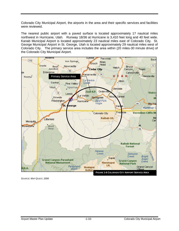Colorado City Municipal Airport, the airports in the area and their specific services and facilities were reviewed.

The nearest public airport with a paved surface is located approximately 17 nautical miles northwest in Hurricane, Utah. Runway 18/36 at Hurricane is 3,410 feet long and 40 feet wide. Kanab Municipal Airport is located approximately 23 nautical miles east of Colorado City. St. George Municipal Airport in St. George, Utah is located approximately 29 nautical miles west of Colorado City. The primary service area includes the area within (20 miles-30 minute drive) of the Colorado City Municipal Airport.



*SOURCE: MAP QUEST, 2006*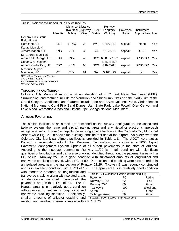| TABLE 1-6 AIRPORTS SURROUNDING COLORADO CITY                 |                   |              |                          |               |                      |          |                 |     |
|--------------------------------------------------------------|-------------------|--------------|--------------------------|---------------|----------------------|----------|-----------------|-----|
|                                                              |                   |              | Distance Distance        |               | Runway               |          |                 |     |
|                                                              |                   |              | (Nautical (Highway NPIAS |               | Length(s)            | Pavement | Instrument      |     |
|                                                              | <b>Identifier</b> | Miles)       | Miles)                   | <b>Status</b> | Width(s)             | Type     | Approaches Fuel |     |
| <b>General Dick Stout</b>                                    |                   |              |                          |               |                      |          |                 |     |
| Field Airport,                                               |                   |              |                          |               |                      |          |                 |     |
| Hurricane, UT                                                | 1L8               | <b>17 NW</b> | 24                       | <b>PVT</b>    | 3,410'x40'           | asphalt  | None            | Yes |
| Kanab Municipal                                              |                   |              |                          |               |                      |          |                 |     |
| Airport, Kanab, UT                                           | <b>KNB</b>        | 23 E         | 39                       | GA            | 6.193'x75'           | asphalt  | <b>GPS</b>      | Yes |
| St. George Municipal                                         |                   |              |                          |               |                      |          |                 |     |
| Airport, St. George, UT                                      | SGU               | 29 W         | 43                       | OCS.          | $6,606' \times 100'$ | asphalt  | GPS/VOR         | Yes |
| <b>Cedar City Regional</b>                                   |                   |              |                          |               | 8,653'x150'          |          |                 |     |
| Airport, Cedar City, UT                                      | <b>CDC</b>        | 45 N         | 65                       | <b>OCS</b>    | 4,822'x60'           | asphalt  | GPS/VOR         | Yes |
| Mesquite Airport,                                            |                   |              |                          |               |                      |          |                 |     |
| Mesquite, NV                                                 | 67L               | 51 W         | 81                       | GA            | 5,100'x75'           | asphalt  | No              | Yes |
| <b>OCS: Other Commercial Service</b><br>GA: General Aviation |                   |              |                          |               |                      |          |                 |     |

*PVT: Private, not included in NPIAS* 

#### **TOPOGRAPHY AND TERRAIN**

Colorado City Municipal Airport is at an elevation of 4,871 feet Mean Sea Level (MSL). Surrounding land features include the Vermilion and Shinorump Cliffs and the North Rim of the Grand Canyon. Additional land features include Zion and Bryce National Parks, Cedar Breaks National Monument, Coral Pink Sand Dunes, Utah State Park, Lake Powell, Glen Canyon and Lake Mead Recreation Areas and Historic Pipe Springs National Monument.

## **AIRSIDE FACILITIES**

The airside facilities of an airport are described as the runway configuration, the associated taxiway system, the ramp and aircraft parking area and any visual or electronic approach navigational aids. Figure 1-7 depicts the existing airside facilities at the Colorado City Municipal Airport while Figure 1-8 shows the existing landside facilities at the airport. An overview of the Colorado City Municipal Airport facilities is provided in Table 1-8. The ADOT Aeronautics Division, in association with Applied Pavement Technology, Inc. conducted a 2006 Airport Pavement Management System Update of all airport pavements in the state of Arizona. According to the inspector comments, Runway 11/29 is in fair condition with significant quantities of longitudinal and transverse cracking identified throughout the pavement area with a PCI of 62. Runway 2/20 is in good condition with substantial amounts of longitudinal and transverse cracking observed, with a PCI of 80. Depression and patching were also recorded in an isolated area near the intersection of Runway 11/29. Taxiway B was recently constructed and is in excellent condition with a PCI of 100. The apron area is in relatively good condition

with moderate amounts of longitudinal and transverse cracking along with isolated areas of depression recorded throughout the pavement area with a PCI of 81. The T-Hangar area is in relatively good condition with significant quantities of longitudinal and transverse cracking identified. Additionally, smaller amounts of alligator cracking and *SOURCE: ADOT AERONAUTICS DIVISION, 2006* 

| TABLE 1-7 PAVEMENT CONDITION INDEX (PCI) |     |           |  |  |  |
|------------------------------------------|-----|-----------|--|--|--|
| Pavement                                 | PCI | Rating    |  |  |  |
| Runway 11/29                             | 62  | Fair      |  |  |  |
| Runway 2/20                              | 80  | Good      |  |  |  |
| Taxiway B                                | 100 | Excellent |  |  |  |
| Apron                                    | 81  | Good      |  |  |  |
| T-Hangar Area                            | 76  | Good      |  |  |  |
|                                          |     |           |  |  |  |

raveling and weathering were observed with a PCI of 76.

*SOURCE: AIRNAV, 2007*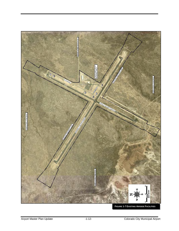

**FIGURE 1-7 EXISTING AIRSIDE FACILITIES**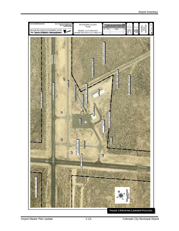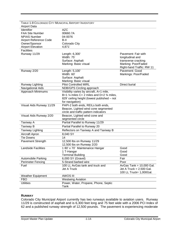| TABLE 1-8 COLORADO CITY MUNICIPAL AIRPORT INVENTORY |                                                                 |                                              |
|-----------------------------------------------------|-----------------------------------------------------------------|----------------------------------------------|
| <b>Airport Data</b>                                 |                                                                 |                                              |
| Identifier                                          | <b>AZC</b>                                                      |                                              |
| <b>FAA Site Number</b>                              | 00660.7A                                                        |                                              |
| <b>NPIAS Number</b>                                 | 04-0076                                                         |                                              |
| <b>Airport Reference Code</b>                       | B-II                                                            |                                              |
| Owner/Sponsor                                       | Colorado City                                                   |                                              |
| <b>Airport Elevation</b>                            | 4,871'                                                          |                                              |
| <b>Facilities</b>                                   |                                                                 |                                              |
| Runway 11/29                                        | Length: 6,300'                                                  | Pavement: Fair with                          |
|                                                     | Width: 75'                                                      | longitudinal and                             |
|                                                     | Surface: Asphalt                                                | transverse cracking                          |
|                                                     | Marking: Basic visual                                           | Marking: Poor/Faded                          |
|                                                     |                                                                 | Right-hand Traffic: RW 11                    |
| Runway 2/20                                         | Length: 5,100'                                                  | Pavement: Good                               |
|                                                     | Width: 60'                                                      | Markings: Poor/Faded                         |
|                                                     | Surface: Asphalt                                                |                                              |
|                                                     | Marking: Basic visual                                           |                                              |
| Runway Lighting                                     | <b>Pilot Controlled MIRL</b>                                    | Direct burial                                |
| Navigational Aids                                   | NDB/GPS Circling approach                                       |                                              |
|                                                     |                                                                 |                                              |
| Approach Minimums                                   | Visibility varies by aircraft, A=1 mile,                        |                                              |
|                                                     | B=1 $\frac{1}{4}$ miles C= 2 miles and D=2 $\frac{3}{4}$ miles, |                                              |
|                                                     | 829' ceiling height (lowest published - not                     |                                              |
|                                                     | for navigation)                                                 |                                              |
| Visual Aids Runway 11/29                            | PAPI-2 both ends, REILs both ends,                              |                                              |
|                                                     | Beacon, Lighted wind cone segmented                             |                                              |
|                                                     | circle and traffic pattern indicators                           |                                              |
| Visual Aids Runway 2/20                             | Beacon, Lighted wind cone and                                   |                                              |
|                                                     | segmented circle                                                |                                              |
| Taxiway A                                           | Partial Parallel to Runway 11/29                                |                                              |
| Taxiway B                                           | Partial Parallel to Runway 20                                   |                                              |
| Taxiway Lighting                                    | Reflectors on Taxiway A and Taxiway B                           |                                              |
| Aircraft Apron                                      | 8,040 SY                                                        |                                              |
| <b>Tie Downs</b>                                    | 14                                                              |                                              |
| Pavement Strength                                   | 12,500 lbs on Runway 11/29                                      |                                              |
|                                                     | 12,500 lbs on Runway 2/20                                       |                                              |
| <b>Landside Facilities</b>                          | 1 80' x 70' Maintenance Hangar                                  | Good                                         |
|                                                     | 1 T-Hangar                                                      | Good                                         |
|                                                     | <b>Terminal Building</b>                                        | Good                                         |
| Automobile Parking                                  | 6,000 SY (Gravel)                                               | Fair                                         |
| <b>Perimeter Fencing</b>                            | 5-Strand barbed wire                                            | Poor                                         |
| Fuel                                                | 100 LL AvGas tank and truck and                                 | $\overline{\text{AvGas Tank}}$ = 10,000 Gal. |
|                                                     | Jet A Truck                                                     | Jet A Truck = $2,500$ Gal.                   |
|                                                     |                                                                 | 100 LL Truck= 1,000Gal.                      |
| <b>Weather Equipment</b>                            | <b>AWOS III</b>                                                 |                                              |
| <b>FBO</b>                                          |                                                                 |                                              |
|                                                     | <b>Westwing Aviation</b>                                        |                                              |
| <b>Utilities</b>                                    | Power, Water, Propane, Phone, Septic                            |                                              |
|                                                     | Tank                                                            |                                              |

#### **RUNWAY**

Colorado City Municipal Airport currently has two runways available to aviation users. Runway 11/29 is constructed of asphalt and is 6,300 feet long and 75 feet wide with a 2006 PCI Index of 62 and a published runway strength of 12,500 pounds. The pavement is experiencing moderate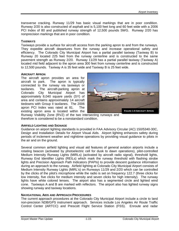transverse cracking. Runway 11/29 has basic visual markings that are in poor condition. Runway 2/20 is also constructed of asphalt and is 5,100 feet long and 60 feet wide with a 2006 PCI Index of 80 and published runway strength of 12,500 pounds SWG. Runway 2/20 has nonprecision markings that are in poor condition.

#### **TAXIWAYS**

Taxiways provide a surface for aircraft access from the parking apron to and from the runways. They expedite aircraft departures from the runway and increase operational safety and efficiency. The Colorado City Municipal Airport has a partial parallel taxiway (Taxiway B) to Runway 20 located 225 feet from the runway centerline and is constructed to the same pavement strength as Runway 2/20. Runway 11/29 has a partial parallel taxiway (Taxiway A) located mid field adjacent to the apron area 300 feet from runway centerline and is constructed to 12,500 pounds. Taxiway A is 35 feet wide and Taxiway B is 25 feet wide.

#### **AIRCRAFT APRON**

The aircraft apron provides an area for aircraft to park. The apron is typically connected to the runway via taxiways or taxilanes. The aircraft-parking apron at Colorado City Municipal Airport has approximately 8,040 square yards (SY) of area and contains approximately 14 aircraft tiedowns with Group II taxilanes. The 2006 apron PCI Index was rated at 81. The existing apron area is located within the



Runway Visibility Zone (RVZ) of the two intersecting runways and therefore is considered to be a nonstandard condition.

#### **AIRFIELD LIGHTING AND SIGNAGE**

Guidance on airport lighting standards is provided in FAA Advisory Circular (AC) 150/5340-30C, Design and Installation Details for Airport Visual Aids*.* Airport lighting enhances safety during periods of inclement weather and nighttime operations by providing visual guidance to pilots in the air and on the ground.

Several common airfield lighting and visual aid features of general aviation airports include a rotating beacon (activated by photoelectric cell for dusk to dawn operations), pilot-controlled Medium Intensity Runway Lights (MIRLs) (activated by aircraft radio signal), threshold lights, Runway End Identifier Lights (REILs) which mark the runway threshold with flashing strobe lights and Precision Approach Path Indicators (PAPIs) to provide descent guidance information during an approach to the runway. Airfield lighting at Colorado City Municipal Airport consists of Medium Intensity Runway Lights (MIRL's) on Runways 11/29 and 2/20 which can be controlled by the clicks of the pilot's microphone while the radio is set on frequency 122.7 (three clicks for low intensity, five clicks for medium intensity and seven clicks for high intensity). The runway lights have white colored lenses. The airport also has a segmented circle and lighted wind cone. Taxiways A and B are marked with reflectors. The airport also has lighted runway signs showing runway and taxiway locations.

# **NAVIGATIONAL AIDS AND APPROACH PROCEDURES**

The current approach procedures at the Colorado City Municipal Airport include a circle to land non-precision NDB/GPS instrument approach. Services include Los Angeles Air Route Traffic Control Center (ARTCC) and Prescott Flight Service Station (FSS). Enroute and radar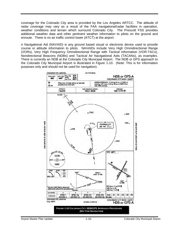coverage for the Colorado City area is provided by the Los Angeles ARTCC. The altitude of radar coverage may vary as a result of the FAA navigational/radar facilities in operation, weather conditions and terrain which surround Colorado City. The Prescott FSS provides additional weather data and other pertinent weather information to pilots on the ground and enroute. There is no air traffic control tower (ATCT) at the airport.

A Navigational Aid (NAVAID) is any ground based visual or electronic device used to provide course or altitude information to pilots. NAVAIDs include Very High Omnidirectional Range (VORs), Very High Frequency Omnidirectional Range with Tactical Information (VOR-TACs), Nondirectional Beacons (NDBs) and Tactical Air Navigational Aids (TACANs), as examples. There is currently an NDB at the Colorado City Municipal Airport. The NDB or GPS approach to the Colorado City Municipal Airport is illustrated in Figure 1-10. (Note: This is for information purposes only and should not be used for navigation).

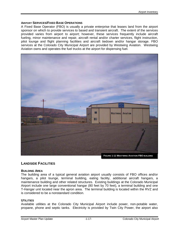#### **AIRPORT SERVICES/FIXED BASE OPERATIONS**

A Fixed Base Operator (FBO) is usually a private enterprise that leases land from the airport sponsor on which to provide services to based and transient aircraft. The extent of the services provided varies from airport to airport; however, these services frequently include aircraft fueling, minor maintenance and repair, aircraft rental and/or charter services, flight instruction, pilot lounge and flight planning facilities and aircraft tiedown and/or hangar storage. FBO services at the Colorado City Municipal Airport are provided by Westwing Aviation. Westwing Aviation owns and operates the fuel trucks at the airport for dispensing fuel.



# **LANDSIDE FACILITIES**

#### **BUILDING AREA**

The building area of a typical general aviation airport usually consists of FBO offices and/or hangars, a pilot lounge, terminal building, eating facility, additional aircraft hangars, a maintenance building and other related structures. Existing buildings at the Colorado Municipal Airport include one large conventional hangar (80 feet by 70 feet), a terminal building and one T-Hangar unit located near the apron area. The terminal building is located within the RVZ and is considered to be a nonstandard condition.

#### **UTILITIES**

Available utilities at the Colorado City Municipal Airport include power, non-potable water, propane, phone and septic tanks. Electricity is provided by Twin City Power, the airport also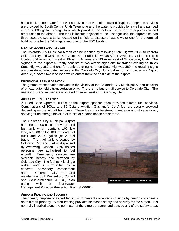has a back up generator for power supply in the event of a power disruption, telephone services are provided by South Central Utah Telephone and the water is provided by a well and pumped into a 60,000 gallon storage tank which provides non potable water for fire suppression and other uses at the airport. The tank is located adjacent to the T-hangar unit, the airport also has three separate septic tanks located on the field to dispose of waste water one for the terminal building, one for the T-Hangars and one for the FBO building.

#### **GROUND ACCESS AND SIGNAGE**

The Colorado City Municipal Airport can be reached by following State Highway 389 south from Colorado City and west on 1600 South Street (also known as Airport Avenue). Colorado City is located 354 miles northwest of Phoenix, Arizona and 43 miles east of St. George, Utah. The signage to the airport currently consists of two airport signs one for traffic traveling south on State Highway 389 and one for traffic traveling north on State Highway 389, the existing signs are considered adequate. Access to the Colorado City Municipal Airport is provided via Airport Avenue, a paved two lane road which enters from the east side of the airport.

#### **INTERMODAL TRANSPORTATION**

The ground transportation network in the vicinity of the Colorado City Municipal Airport consists of private automobile transportation only. There is no bus or rail service to Colorado City. The nearest bus and rail service is located 43 miles west in St. George, Utah.

#### **AIRCRAFT FUEL FACILITIES**

A Fixed Base Operator (FBO) or the airport sponsor often provides aircraft fuel services. Combinations of 100LL and 80 Octane Aviation Gas and/or Jet-A fuel are usually provided depending on the aircraft traffic mix. These fuels may be stored in underground storage tanks, above ground storage tanks, fuel trucks or a combination of the three.

The Colorado City Municipal Airport has one 10,000 gallon above ground fuel tank which contains 100 low lead, a 1,000 gallon 100 low lead fuel truck and 2,500 gallon jet A fuel truck. The fuel tank is owned by Colorado City and fuel is dispensed by Westwing Aviation. Only trained personnel are authorized to fuel aircraft. Emergency services are available nearby and provided by Colorado City. The fuel tank is single walled and is surrounded by a concrete secondary containment area. Colorado City has and maintains a Spill Prevention, Control and Countermeasure (SPCC) plan along with a Stormwater



Management Pollution Prevention Plan (SWPPP).

#### **AIRPORT FENCING AND SECURITY**

The primary purpose of airport fencing is to prevent unwanted intrusions by persons or animals on to airport property. Airport fencing provides increased safety and security for the airport. It is normally installed along the perimeter of the airport property and outside any of the safety areas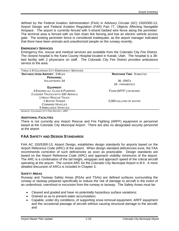defined by the Federal Aviation Administration (FAA) in Advisory Circular (AC) 150/5300-13, Airport Design and Federal Aviation Regulation (FAR) Part 77, Objects Affecting Navigable Airspace. The airport is currently fenced with 5-strand barbed wire fence along the perimeter. The terminal area is fenced with six foot chain link fencing and has an electric vehicle access gate. The existing perimeter fence is considered inadequate, as the airport manager indicated that there have been animals and unauthorized people on the runway recently.

#### **EMERGENCY SERVICES**

Emergency fire, rescue and medical services are available from the Colorado City Fire District. The closest hospital is the Kane County Hospital located in Kanab, Utah. The hospital is a 38 bed facility with 2 physicians on staff. The Colorado City Fire District provides ambulance service to the area.

| TABLE 1-9 COLORADO CITY EMERGENCY SERVICES |                                 |
|--------------------------------------------|---------------------------------|
| <b>DISTANCE FROM AIRPORT: 3 MILES</b>      | <b>RESPONSE TIME: 8 MINUTES</b> |
| <b>PERSONNEL</b>                           |                                 |
| <b>VOLUNTEERS: 54</b>                      | 36 - EMT <sub>S</sub>           |
|                                            | 18 - PARAMEDICS                 |
| <b>EQUIPMENT</b>                           |                                 |
| 4 ENGINES ALL CLASS A PUMPERS              | FOAM (AFFF) ON BOARD            |
| 2 LADDER TRUCKS WITH 100' AERIALS          |                                 |
| <b>1 HEAVY RESCUE TRUCK</b>                |                                 |
| <b>1 WATER TENDER</b>                      | 5,000 GALLONS OF WATER          |
| <b>COMMAND VEHICLES</b>                    |                                 |
| <b>5 AMBULANCE VEHICLES</b>                |                                 |
| SOURCE: COLORADO CITY FIRE DISTRICT 2007   |                                 |

*SOURCE: COLORADO CITY FIRE DISTRICT, 2007* 

#### **ADDITIONAL FACILITIES**

There is not currently any Airport Rescue and Fire Fighting (ARFF) equipment or personnel based at the Colorado City Municipal Airport. There are also no designated security personnel at the airport.

# **FAA SAFETY AND DESIGN STANDARDS**

FAA AC 150/5300-13, Airport Design, establishes design standards for airports based on the Airport Reference Code (ARC) of the airport. When design standard deficiencies exist, the FAA recommends correction of such deficiencies as soon as practicable. Design standards are based on the Airport Reference Code (ARC) and approach visibility minimums of the airport. The ARC is a combination of the tail height, wingspan and approach speed of the critical aircraft operating at the airport. The current ARC for the Colorado City Municipal Airport is B-II. A more detailed discussion of ARCs is included in Chapter 3.

#### **SAFETY AREAS**

Runway and Taxiway Safety Areas (RSAs and TSAs) are defined surfaces surrounding the runway or taxiway prepared specifically to reduce the risk of damage to aircraft in the event of an undershoot, overshoot or excursion from the runway or taxiway. The Safety Areas must be:

- Cleared and graded and have no potentially hazardous surface variations;
- Drained so as to prevent water accumulation;
- Capable, under dry conditions, of supporting snow removal equipment, ARFF equipment and the occasional passage of aircraft without causing structural damage to the aircraft; and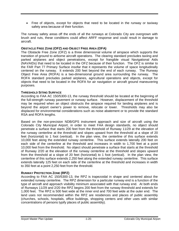• Free of objects, except for objects that need to be located in the runway or taxiway safety area because of their function.

The runway safety areas off the ends of all the runways at Colorado City are overgrown with brush and ruts, these conditions could affect ARFF response and could result in damage to aircraft.

#### **OBSTACLE FREE ZONE (OFZ) AND OBJECT FREE AREA (OFA)**

The Obstacle Free Zone (OFZ) is a three dimensional volume of airspace which supports the transition of ground to airborne aircraft operations. The clearing standard precludes taxiing and parked airplanes and object penetrations, except for frangible visual Navigational Aids (NAVAIDs) that need to be located in the OFZ because of their function. The OFZ is similar to the FAR Part 77 Primary Surface insofar that it represents the volume of space longitudinally centered on the runway. It extends 200 feet beyond the end of each runway. The Runway Object Free Area (ROFA) is a two-dimensional ground area surrounding the runway. The ROFA standard precludes parked airplanes, agricultural operations and objects, except for objects that need to be located in the ROFA for air navigation or aircraft ground maneuvering purposes.

#### **THRESHOLD SITING SURFACE**

According to FAA AC 150/5300-13, the runway threshold should be located at the beginning of the full-strength runway pavement or runway surface. However, displacement of the threshold may be required when an object obstructs the airspace required for landing airplanes and is beyond the airport owner's power to remove, relocate or lower. Thresholds may also be displaced for environmental considerations such as noise abatement or to provide the standard RSA and ROFA lengths.

Based on the non-precision NDB/GPS instrument approach and size of aircraft using the Colorado City Municipal Airport, in order to meet FAA design standards, no object should penetrate a surface that starts 200 feet from the threshold of Runway 11/29 at the elevation of the runway centerline at the threshold and slopes upward from the threshold at a slope of 20 feet (horizontal) to 1 foot (vertical). In the plan view, the centerline of this surface extends 10,000 feet along the extended runway centerline. This surface extends laterally 200 feet on each side of the centerline at the threshold and increases in width to 1,700 feet at a point 10,000 feet from the threshold. No object should penetrate a surface that starts at the threshold of Runway 2/20 at the elevation of the runway centerline at the threshold and slopes upward from the threshold at a slope of 20 feet (horizontal) to 1 foot (vertical). In the plan view, the centerline of this surface extends 2,250 feet along the extended runway centerline. This surface extends laterally 125 feet on each side of the centerline at the threshold and increases in width to 350 feet at a point 2,250 feet from the threshold.

#### **RUNWAY PROTECTION ZONE (RPZ)**

According to FAA AC 150/5300-13, the RPZ is trapezoidal in shape and centered about the extended runway centerline. The RPZ dimension for a particular runway end is a function of the type of aircraft and approach visibility minimum associated with that runway end. At both ends of Runways 11/29 and 2/20 the RPZ begins 200 feet from the runway threshold and extends for 1,000 feet. The RPZ is 500 feet wide at the inner end and 700 feet wide at the outer end. The land uses not recommended within the RPZ are residences and places of public assembly (churches, schools, hospitals, office buildings, shopping centers and other uses with similar concentrations of persons typify places of public assembly).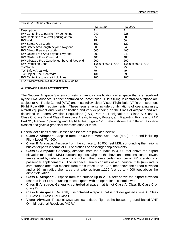| <b>TABLE 1-10 DESIGN STANDARDS</b>                                                                                                                                                                                                                                                                                                                                                           |                      |                                  |
|----------------------------------------------------------------------------------------------------------------------------------------------------------------------------------------------------------------------------------------------------------------------------------------------------------------------------------------------------------------------------------------------|----------------------|----------------------------------|
|                                                                                                                                                                                                                                                                                                                                                                                              | RW 11/29             | RW 2/20                          |
| Description                                                                                                                                                                                                                                                                                                                                                                                  | B-II                 | B-l                              |
| RW Centerline to parallel TW centerline                                                                                                                                                                                                                                                                                                                                                      | 240'                 | 225'                             |
| RW Centerline to aircraft parking apron                                                                                                                                                                                                                                                                                                                                                      | 250'                 | 200'                             |
| <b>RW Width</b>                                                                                                                                                                                                                                                                                                                                                                              | 75'                  | 60'                              |
| RW Safety Area width                                                                                                                                                                                                                                                                                                                                                                         | 150'                 | 120'                             |
| RW Safety Area length beyond Rwy end                                                                                                                                                                                                                                                                                                                                                         | 300'                 | 240'                             |
| RW Object Free Area width                                                                                                                                                                                                                                                                                                                                                                    | 500                  | 400'                             |
| RW Object Free Area beyond Rwy end                                                                                                                                                                                                                                                                                                                                                           | 300'                 | 240'                             |
| RW Obstacle Free Zone width                                                                                                                                                                                                                                                                                                                                                                  | 400'                 | 400'                             |
| RW Obstacle Free Zone length beyond Rwy end                                                                                                                                                                                                                                                                                                                                                  | 200'                 | 200'                             |
| <b>RW Protection Zone</b>                                                                                                                                                                                                                                                                                                                                                                    | 1,000' x 500' x 700' | $1,000' \times 500' \times 700'$ |
| <b>TW Width</b>                                                                                                                                                                                                                                                                                                                                                                              | 35'                  | 25'                              |
| TW Safety Area width                                                                                                                                                                                                                                                                                                                                                                         | 79'                  | 49'                              |
| TW Object Free Area width                                                                                                                                                                                                                                                                                                                                                                    | 131'                 | 89'                              |
| RW Centerline to aircraft hold lines                                                                                                                                                                                                                                                                                                                                                         | 200'                 | <b>200</b>                       |
| $\Gamma$ ( ( $\Lambda$ ) $\Lambda$ = $\Lambda$ = $\Lambda$ $\Lambda$ = $\Lambda$ = $\Lambda$ = $\Lambda$ = $\Lambda$ = $\Lambda$ = $\Lambda$ = $\Lambda$ = $\Lambda$ = $\Lambda$ = $\Lambda$ = $\Lambda$ = $\Lambda$ = $\Lambda$ = $\Lambda$ = $\Lambda$ = $\Lambda$ = $\Lambda$ = $\Lambda$ = $\Lambda$ = $\Lambda$ = $\Lambda$ = $\Lambda$ = $\Lambda$ = $\Lambda$ = $\Lambda$ = $\Lambda$ |                      |                                  |

FAA ADVISORY CIRCULAR 150/5300-13 CHANGE 12

# **AIRSPACE CHARACTERISTICS**

The National Airspace System consists of various classifications of airspace that are regulated by the FAA. Airspace is either controlled or uncontrolled. Pilots flying in controlled airspace are subject to Air Traffic Control (ATC) and must follow either Visual Flight Rule (VFR) or Instrument Flight Rule (IFR) requirements. These requirements include combinations of operating rules, aircraft equipment and pilot certification and vary depending on the Class of airspace and are described in Federal Aviation Regulations (FAR) Part 71, Designation of Class A, Class B, Class C, Class D and Class E Airspace Areas; Airways; Routes*;* and Reporting Points and FAR Part 91, General Operating and Flight Rules. Figure 1-13 below shows the different airspace classes and gives a graphical representation of them.

General definitions of the Classes of airspace are provided below:

- **Class A Airspace**: Airspace from 18,000 feet Mean Sea Level (MSL) up to and including Flight Level (FL) 600.
- **Class B Airspace**: Airspace from the surface to 10,000 feet MSL surrounding the nation's busiest airports in terms of IFR operations or passenger enplanements.
- **Class C Airspace**: Generally, airspace from the surface to 4,000 feet above the airport elevation (charted in MSL) surrounding those airports that have an operational control tower, are serviced by radar approach control and that have a certain number of IFR operations or passenger enplanements. The airspace usually consists of a 5 nautical mile (nm) radius core surface area that extends from the surface up to 1,200 feet above the airport elevation and a 10 nm radius shelf area that extends from 1,200 feet up to 4,000 feet above the airport elevation.
- **Class D Airspace**: Airspace from the surface up to 2,500 feet above the airport elevation (charted in MSL) surrounding those airports with an operational control tower.
- **Class E Airspace**: Generally, controlled airspace that is not Class A, Class B, Class C or Class D.
- **Class G Airspace**: Generally, uncontrolled airspace that is not designated Class A, Class B, Class C, Class D or Class E.
- **Victor Airways:** These airways are low altitude flight paths between ground based VHF Omnidirectional Receivers (VORs).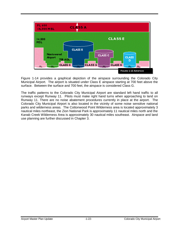

Figure 1-14 provides a graphical depiction of the airspace surrounding the Colorado City Municipal Airport. The airport is situated under Class E airspace starting at 700 feet above the surface. Between the surface and 700 feet, the airspace is considered Class G.

The traffic patterns to the Colorado City Municipal Airport are standard left hand traffic to all runways except Runway 11. Pilots must make right hand turns when approaching to land on Runway 11. There are no noise abatement procedures currently in place at the airport. The Colorado City Municipal Airport is also located in the vicinity of some noise sensitive national parks and wilderness areas. The Cottonwood Point Wilderness area is located approximately 3 nautical miles northeast, the Zion National Park is approximately 11 nautical miles north and the Kanab Creek Wilderness Area is approximately 30 nautical miles southeast. Airspace and land use planning are further discussed in Chapter 3.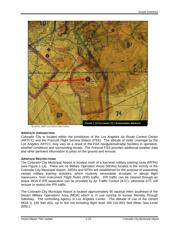

*SOURCE: 2007 LAS VEGAS SECTIONAL*

#### **AIRSPACE JURISDICTION**

Colorado City is located within the jurisdiction of the Los Angeles Air Route Control Center (ARTCC) and the Prescott Flight Service Station (FSS). The altitude of radar coverage by the Los Angeles ARTCC may vary as a result of the FAA navigational/radar facilities in operation, weather conditions and surrounding terrain. The Prescott FSS provides additional weather data and other pertinent information to pilots on the ground and enroute.

#### **AIRSPACE RESTRICTIONS**

The Colorado City Municipal Airport is located north of a low-level military training route (MTRs) (see Figure 1-14). There are no Military Operation Areas (MOAs) located in the vicinity of the Colorado City Municipal Airport. MOAs and MTRs are established for the purpose of separating certain military training activities, which routinely necessitate acrobatic or abrupt flight maneuvers, from Instrument Flight Rules (IFR) traffic. IFR traffic can be cleared through an active MOA if IFR separation can be provided by Air Traffic Control (ATC), otherwise ATC will reroute or restrict the IFR traffic.

The Colorado City Municipal Airport is located approximately 56 nautical miles southeast of the Desert Military Operations Area (MOA) which is in use sunrise to sunset Monday through Saturday. The controlling agency is Los Angeles Center. The altitude of use of the Desert MOA is 100 feet AGL up to but not including flight level 180 (18,000) feet Mean Sea Level (MSL).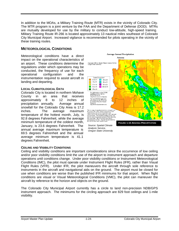In addition to the MOAs, a Military Training Route (MTR) exists in the vicinity of Colorado City. The MTR program is a joint venture by the FAA and the Department of Defense (DOD). MTRs are mutually developed for use by the military to conduct low-altitude, high-speed training. Military Training Route IR-266 is located approximately 13 nautical miles southeast of Colorado City Municipal Airport. Increased vigilance is recommended for pilots operating in the vicinity of these training routes.

# **METEOROLOGICAL CONDITIONS**

Meteorological conditions have a direct impact on the operational characteristics of an airport. These conditions determine the regulations under which operations may be conducted, the frequency of use for each operational configuration and the instrumentation required to assist aircraft in landing and departing.

#### **LOCAL CLIMATOLOGICAL DATA**

Colorado City is located in northern Mohave County in an area that receives approximately 8 to 12 inches of precipitation annually. Average annual snowfall for the Colorado City Area is 17.2 inches. The average maximum temperature of the hottest month, July, is 92.8 degrees Fahrenheit, while the average minimum temperature of the coldest month, January, is 23.6 degrees Fahrenheit. The annual average maximum temperature is 69.5 degrees Fahrenheit and the annual average minimum temperature is 41.1 degrees Fahrenheit.



#### **CEILING AND VISIBILITY CONDITIONS**

Ceiling and visibility conditions are important considerations since the occurrence of low ceiling and/or poor visibility conditions limit the use of the airport to instrument approach and departure operations until conditions change. Under poor visibility conditions or Instrument Meteorological Conditions (IMC), the pilot must operate under Instrument Flight Rules (IFR), rather than Visual Flight Rules (VFR). Under IFR, the pilot maneuvers the aircraft through sole reference to instruments in the aircraft and navigational aids on the ground. The airport must be closed for use when conditions are worse than the published IFR minimums for that airport. When flight conditions are visual or Visual Meteorological Conditions (VMC), the pilot can maneuver the aircraft by reference to the horizon and objects on the ground.

The Colorado City Municipal Airport currently has a circle to land non-precision NDB/GPS instrument approach. The minimums for the circling approach are 829 foot ceilings and 1-mile visibility.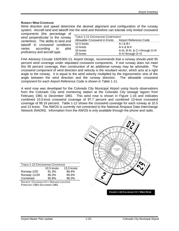#### **RUNWAY WIND COVERAGE**

Wind direction and speed determine the desired alignment and configuration of the runway system. Aircraft land and takeoff into the wind and therefore can tolerate only limited crosswind

| components (the percentage of        |  |  |       |
|--------------------------------------|--|--|-------|
| wind perpendicular to the runway     |  |  |       |
| centerline). The ability to land and |  |  |       |
| takeoff in crosswind conditions      |  |  |       |
| varies according to                  |  |  | pilot |
| proficiency and aircraft type.       |  |  |       |

| TABLE 1-11 CROSSWIND COMPONENT |                                   |  |  |  |
|--------------------------------|-----------------------------------|--|--|--|
| Allowable Crosswind in Knots   | Airport Reference Code            |  |  |  |
| $10.5$ knots                   | $A-I & B-I$                       |  |  |  |
| 13 knots                       | $A-II & B-II$                     |  |  |  |
| 16 knots                       | A-III, B-III, & C-I through D-III |  |  |  |
| 20 knots                       | A-IV through D-VI                 |  |  |  |

FAA Advisory Circular 150/5300-13, Airport Design, recommends that a runway should yield 95 percent wind coverage under stipulated crosswind components. If one runway does not meet this 95 percent coverage, then construction of an additional runway may be advisable. The crosswind component of wind direction and velocity is the resultant vector, which acts at a right angle to the runway. It is equal to the wind velocity multiplied by the trigonometric sine of the angle between the wind direction and the runway direction. The allowable crosswind component for each Airport Reference Code is shown in Table 1-11.

A wind rose was developed for the Colorado City Municipal Airport using hourly observations from the Colorado City wind monitoring station at the Colorado City sewage lagoon from February 1981 to December 1981. This wind rose is shown in Figure 1-16 and indicates combined 10.5-knot crosswind coverage of 97.7 percent and combined 13-knot crosswind coverage of 99.19 percent. Table 1-12 shows the crosswind coverage for each runway at 10.5 and 13 knots. The AWOS is currently not connected to the National Airspace Data Interchange Network (NADIN). Information from the AWOS is only available through the phone and radio.

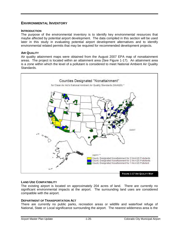# **ENVIRONMENTAL INVENTORY**

#### **INTRODUCTION**

The purpose of the environmental inventory is to identify key environmental resources that maybe affected by potential airport development. The data compiled in this section will be used later in this study in evaluating potential airport development alternatives and to identify environmental related permits that may be required for recommended development projects.

#### **AIR QUALITY**

Air quality attainment maps were obtained from the August 2007 EPA map of nonattainment areas. The project is located within an attainment area (See Figure 1-17). An attainment area is a zone within which the level of a pollutant is considered to meet National Ambient Air Quality Standards.



# **LAND USE COMPATIBILITY**

The existing airport is located on approximately 204 acres of land. There are currently no significant environmental impacts at the airport. The surrounding land uses are considered compatible with the airport.

# **DEPARTMENT OF TRANSPORTATION ACT**

There are currently no public parks, recreation areas or wildlife and waterfowl refuge of National, State or Local significance surrounding the airport. The nearest wilderness area is the